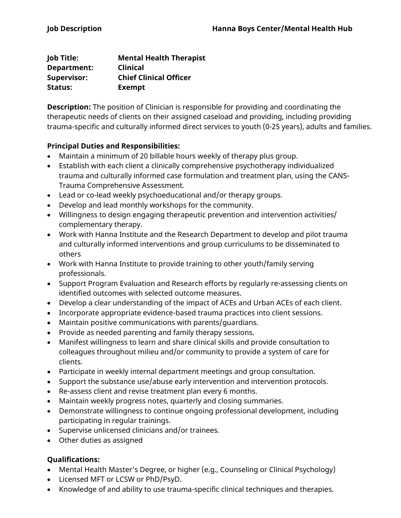| Job Title:         | <b>Mental Health Therapist</b> |
|--------------------|--------------------------------|
| Department:        | <b>Clinical</b>                |
| <b>Supervisor:</b> | <b>Chief Clinical Officer</b>  |
| Status:            | <b>Exempt</b>                  |

**Description:** The position of Clinician is responsible for providing and coordinating the therapeutic needs of clients on their assigned caseload and providing, including providing trauma-specific and culturally informed direct services to youth (0-25 years), adults and families.

## **Principal Duties and Responsibilities:**

- Maintain a minimum of 20 billable hours weekly of therapy plus group.
- Establish with each client a clinically comprehensive psychotherapy individualized trauma and culturally informed case formulation and treatment plan, using the CANS-Trauma Comprehensive Assessment.
- Lead or co-lead weekly psychoeducational and/or therapy groups.
- Develop and lead monthly workshops for the community.
- Willingness to design engaging therapeutic prevention and intervention activities/ complementary therapy.
- Work with Hanna Institute and the Research Department to develop and pilot trauma and culturally informed interventions and group curriculums to be disseminated to others
- Work with Hanna Institute to provide training to other youth/family serving professionals.
- Support Program Evaluation and Research efforts by regularly re-assessing clients on identified outcomes with selected outcome measures.
- Develop a clear understanding of the impact of ACEs and Urban ACEs of each client.
- Incorporate appropriate evidence-based trauma practices into client sessions.
- Maintain positive communications with parents/guardians.
- Provide as needed parenting and family therapy sessions.
- Manifest willingness to learn and share clinical skills and provide consultation to colleagues throughout milieu and/or community to provide a system of care for clients.
- Participate in weekly internal department meetings and group consultation.
- Support the substance use/abuse early intervention and intervention protocols.
- Re-assess client and revise treatment plan every 6 months.
- Maintain weekly progress notes, quarterly and closing summaries.
- Demonstrate willingness to continue ongoing professional development, including participating in regular trainings.
- Supervise unlicensed clinicians and/or trainees.
- Other duties as assigned

## **Qualifications:**

- Mental Health Master's Degree, or higher (e.g., Counseling or Clinical Psychology)
- Licensed MFT or LCSW or PhD/PsyD.
- Knowledge of and ability to use trauma-specific clinical techniques and therapies.